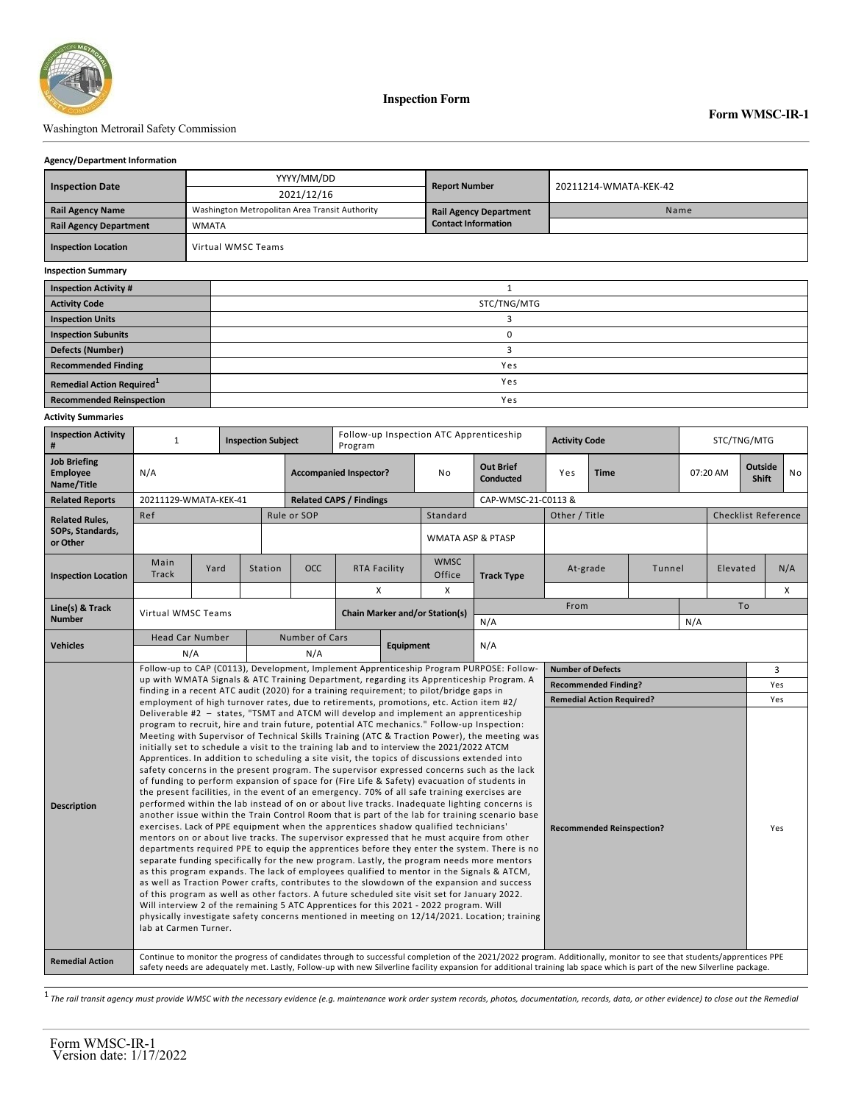

**Inspection Form**

### Washington Metrorail Safety Commission

#### **Agency/Department Information**

|                                              |                    | YYYY/MM/DD                                     | <b>Report Number</b>          | 20211214-WMATA-KEK-42 |  |  |  |  |  |
|----------------------------------------------|--------------------|------------------------------------------------|-------------------------------|-----------------------|--|--|--|--|--|
| <b>Inspection Date</b>                       |                    | 2021/12/16                                     |                               |                       |  |  |  |  |  |
| <b>Rail Agency Name</b>                      |                    | Washington Metropolitan Area Transit Authority | <b>Rail Agency Department</b> | Name                  |  |  |  |  |  |
| <b>Rail Agency Department</b>                | <b>WMATA</b>       |                                                | <b>Contact Information</b>    |                       |  |  |  |  |  |
| <b>Inspection Location</b>                   | Virtual WMSC Teams |                                                |                               |                       |  |  |  |  |  |
| <b>Inspection Summary</b>                    |                    |                                                |                               |                       |  |  |  |  |  |
| <b>Inspection Activity #</b>                 |                    |                                                |                               |                       |  |  |  |  |  |
| <b>Activity Code</b>                         |                    | STC/TNG/MTG                                    |                               |                       |  |  |  |  |  |
| <b>Inspection Units</b>                      |                    | 3                                              |                               |                       |  |  |  |  |  |
| <b>Inspection Subunits</b>                   |                    | 0                                              |                               |                       |  |  |  |  |  |
| <b>Defects (Number)</b>                      |                    | 3                                              |                               |                       |  |  |  |  |  |
| <b>Recommended Finding</b>                   |                    | Yes                                            |                               |                       |  |  |  |  |  |
| <b>Remedial Action Required</b> <sup>1</sup> |                    | Yes                                            |                               |                       |  |  |  |  |  |
| <b>Recommended Reinspection</b>              |                    | Yes                                            |                               |                       |  |  |  |  |  |

#### **Activity Summaries**

| <b>Inspection Activity</b><br>#               | $\mathbf{1}$<br><b>Inspection Subject</b>                                                                                                                                                                                                                                                                                                                                                                                                                                                                                                                                                                                                                                                                                                                                                                                                                                                                                                                                                                                                                                                                                                                                                                                                                                                                                                                                                                                                                                                                                                                                                                                                                                                                                                                                                                                                                                                                                                                                                                                                         |      |         |                | Follow-up Inspection ATC Apprenticeship<br>Program |                                       |  |                              | <b>Activity Code</b>                 | STC/TNG/MTG              |                             |                            |          |                                            |   |            |  |
|-----------------------------------------------|---------------------------------------------------------------------------------------------------------------------------------------------------------------------------------------------------------------------------------------------------------------------------------------------------------------------------------------------------------------------------------------------------------------------------------------------------------------------------------------------------------------------------------------------------------------------------------------------------------------------------------------------------------------------------------------------------------------------------------------------------------------------------------------------------------------------------------------------------------------------------------------------------------------------------------------------------------------------------------------------------------------------------------------------------------------------------------------------------------------------------------------------------------------------------------------------------------------------------------------------------------------------------------------------------------------------------------------------------------------------------------------------------------------------------------------------------------------------------------------------------------------------------------------------------------------------------------------------------------------------------------------------------------------------------------------------------------------------------------------------------------------------------------------------------------------------------------------------------------------------------------------------------------------------------------------------------------------------------------------------------------------------------------------------------|------|---------|----------------|----------------------------------------------------|---------------------------------------|--|------------------------------|--------------------------------------|--------------------------|-----------------------------|----------------------------|----------|--------------------------------------------|---|------------|--|
| <b>Job Briefing</b><br>Employee<br>Name/Title | N/A                                                                                                                                                                                                                                                                                                                                                                                                                                                                                                                                                                                                                                                                                                                                                                                                                                                                                                                                                                                                                                                                                                                                                                                                                                                                                                                                                                                                                                                                                                                                                                                                                                                                                                                                                                                                                                                                                                                                                                                                                                               |      |         |                | <b>Accompanied Inspector?</b>                      |                                       |  | No                           | <b>Out Brief</b><br><b>Conducted</b> | Yes                      | <b>Time</b>                 |                            |          | <b>Outside</b><br>07:20 AM<br><b>Shift</b> |   | No         |  |
| <b>Related Reports</b>                        | 20211129-WMATA-KEK-41                                                                                                                                                                                                                                                                                                                                                                                                                                                                                                                                                                                                                                                                                                                                                                                                                                                                                                                                                                                                                                                                                                                                                                                                                                                                                                                                                                                                                                                                                                                                                                                                                                                                                                                                                                                                                                                                                                                                                                                                                             |      |         |                | <b>Related CAPS / Findings</b>                     |                                       |  |                              | CAP-WMSC-21-C0113 &                  |                          |                             |                            |          |                                            |   |            |  |
| <b>Related Rules,</b>                         | Ref                                                                                                                                                                                                                                                                                                                                                                                                                                                                                                                                                                                                                                                                                                                                                                                                                                                                                                                                                                                                                                                                                                                                                                                                                                                                                                                                                                                                                                                                                                                                                                                                                                                                                                                                                                                                                                                                                                                                                                                                                                               |      |         |                | Rule or SOP                                        |                                       |  | Standard                     |                                      | Other / Title            |                             | <b>Checklist Reference</b> |          |                                            |   |            |  |
| SOPs, Standards,<br>or Other                  |                                                                                                                                                                                                                                                                                                                                                                                                                                                                                                                                                                                                                                                                                                                                                                                                                                                                                                                                                                                                                                                                                                                                                                                                                                                                                                                                                                                                                                                                                                                                                                                                                                                                                                                                                                                                                                                                                                                                                                                                                                                   |      |         |                |                                                    |                                       |  | <b>WMATA ASP &amp; PTASP</b> |                                      |                          |                             |                            |          |                                            |   |            |  |
| <b>Inspection Location</b>                    | Main<br>Track                                                                                                                                                                                                                                                                                                                                                                                                                                                                                                                                                                                                                                                                                                                                                                                                                                                                                                                                                                                                                                                                                                                                                                                                                                                                                                                                                                                                                                                                                                                                                                                                                                                                                                                                                                                                                                                                                                                                                                                                                                     | Yard | Station |                | <b>OCC</b>                                         | RTA Facility                          |  | <b>WMSC</b><br>Office        | <b>Track Type</b>                    | At-grade                 |                             | Tunnel                     | Elevated |                                            |   | N/A        |  |
|                                               |                                                                                                                                                                                                                                                                                                                                                                                                                                                                                                                                                                                                                                                                                                                                                                                                                                                                                                                                                                                                                                                                                                                                                                                                                                                                                                                                                                                                                                                                                                                                                                                                                                                                                                                                                                                                                                                                                                                                                                                                                                                   |      |         |                |                                                    | Х                                     |  | X                            |                                      |                          |                             |                            |          |                                            |   | X          |  |
| <b>Number</b>                                 | Line(s) & Track<br>Virtual WMSC Teams                                                                                                                                                                                                                                                                                                                                                                                                                                                                                                                                                                                                                                                                                                                                                                                                                                                                                                                                                                                                                                                                                                                                                                                                                                                                                                                                                                                                                                                                                                                                                                                                                                                                                                                                                                                                                                                                                                                                                                                                             |      |         |                |                                                    | <b>Chain Marker and/or Station(s)</b> |  |                              |                                      |                          | From                        |                            |          | To                                         |   |            |  |
|                                               |                                                                                                                                                                                                                                                                                                                                                                                                                                                                                                                                                                                                                                                                                                                                                                                                                                                                                                                                                                                                                                                                                                                                                                                                                                                                                                                                                                                                                                                                                                                                                                                                                                                                                                                                                                                                                                                                                                                                                                                                                                                   |      |         | Number of Cars |                                                    |                                       |  | N/A                          |                                      |                          |                             | N/A                        |          |                                            |   |            |  |
| <b>Vehicles</b>                               | <b>Head Car Number</b><br>N/A                                                                                                                                                                                                                                                                                                                                                                                                                                                                                                                                                                                                                                                                                                                                                                                                                                                                                                                                                                                                                                                                                                                                                                                                                                                                                                                                                                                                                                                                                                                                                                                                                                                                                                                                                                                                                                                                                                                                                                                                                     |      |         |                | N/A                                                | <b>Equipment</b>                      |  |                              | N/A                                  |                          |                             |                            |          |                                            |   |            |  |
|                                               |                                                                                                                                                                                                                                                                                                                                                                                                                                                                                                                                                                                                                                                                                                                                                                                                                                                                                                                                                                                                                                                                                                                                                                                                                                                                                                                                                                                                                                                                                                                                                                                                                                                                                                                                                                                                                                                                                                                                                                                                                                                   |      |         |                |                                                    |                                       |  |                              |                                      | <b>Number of Defects</b> |                             |                            |          |                                            | 3 |            |  |
|                                               | Follow-up to CAP (C0113), Development, Implement Apprenticeship Program PURPOSE: Follow-<br>up with WMATA Signals & ATC Training Department, regarding its Apprenticeship Program. A                                                                                                                                                                                                                                                                                                                                                                                                                                                                                                                                                                                                                                                                                                                                                                                                                                                                                                                                                                                                                                                                                                                                                                                                                                                                                                                                                                                                                                                                                                                                                                                                                                                                                                                                                                                                                                                              |      |         |                |                                                    |                                       |  |                              |                                      |                          | <b>Recommended Finding?</b> |                            |          |                                            |   |            |  |
|                                               | finding in a recent ATC audit (2020) for a training requirement; to pilot/bridge gaps in                                                                                                                                                                                                                                                                                                                                                                                                                                                                                                                                                                                                                                                                                                                                                                                                                                                                                                                                                                                                                                                                                                                                                                                                                                                                                                                                                                                                                                                                                                                                                                                                                                                                                                                                                                                                                                                                                                                                                          |      |         |                |                                                    |                                       |  |                              |                                      |                          |                             |                            |          |                                            |   | Yes<br>Yes |  |
| <b>Description</b>                            | <b>Remedial Action Required?</b><br>employment of high turnover rates, due to retirements, promotions, etc. Action item #2/<br>Deliverable #2 - states, "TSMT and ATCM will develop and implement an apprenticeship<br>program to recruit, hire and train future, potential ATC mechanics." Follow-up Inspection:<br>Meeting with Supervisor of Technical Skills Training (ATC & Traction Power), the meeting was<br>initially set to schedule a visit to the training lab and to interview the 2021/2022 ATCM<br>Apprentices. In addition to scheduling a site visit, the topics of discussions extended into<br>safety concerns in the present program. The supervisor expressed concerns such as the lack<br>of funding to perform expansion of space for (Fire Life & Safety) evacuation of students in<br>the present facilities, in the event of an emergency. 70% of all safe training exercises are<br>performed within the lab instead of on or about live tracks. Inadequate lighting concerns is<br>another issue within the Train Control Room that is part of the lab for training scenario base<br>exercises. Lack of PPE equipment when the apprentices shadow qualified technicians'<br><b>Recommended Reinspection?</b><br>mentors on or about live tracks. The supervisor expressed that he must acquire from other<br>departments required PPE to equip the apprentices before they enter the system. There is no<br>separate funding specifically for the new program. Lastly, the program needs more mentors<br>as this program expands. The lack of employees qualified to mentor in the Signals & ATCM,<br>as well as Traction Power crafts, contributes to the slowdown of the expansion and success<br>of this program as well as other factors. A future scheduled site visit set for January 2022.<br>Will interview 2 of the remaining 5 ATC Apprentices for this 2021 - 2022 program. Will<br>physically investigate safety concerns mentioned in meeting on 12/14/2021. Location; training<br>lab at Carmen Turner. |      |         |                |                                                    |                                       |  |                              |                                      |                          |                             |                            | Yes      |                                            |   |            |  |
| <b>Remedial Action</b>                        | Continue to monitor the progress of candidates through to successful completion of the 2021/2022 program. Additionally, monitor to see that students/apprentices PPE<br>safety needs are adequately met. Lastly, Follow-up with new Silverline facility expansion for additional training lab space which is part of the new Silverline package.                                                                                                                                                                                                                                                                                                                                                                                                                                                                                                                                                                                                                                                                                                                                                                                                                                                                                                                                                                                                                                                                                                                                                                                                                                                                                                                                                                                                                                                                                                                                                                                                                                                                                                  |      |         |                |                                                    |                                       |  |                              |                                      |                          |                             |                            |          |                                            |   |            |  |

1 *The rail transit agency must provide WMSC with the necessary evidence (e.g. maintenance work order system records, photos, documentation, records, data, or other evidence) to close out the Remedial*